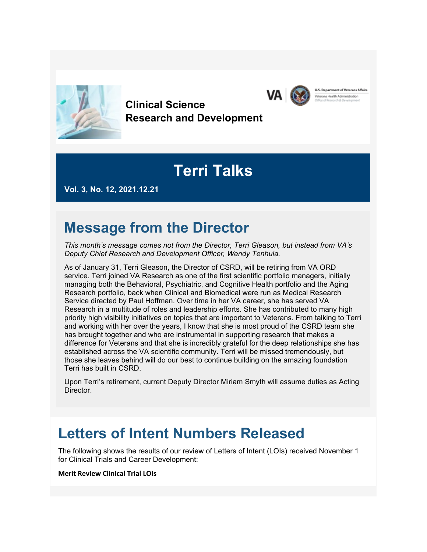

**Clinical Science Research and Development**

# **Terri Talks**

**U.S. Department of Veterans Affairs** 

sus Health Administration

VA I

**Vol. 3, No. 12, 2021.12.21**

# **Message from the Director**

*This month's message comes not from the Director, Terri Gleason, but instead from VA's Deputy Chief Research and Development Officer, Wendy Tenhula.*

As of January 31, Terri Gleason, the Director of CSRD, will be retiring from VA ORD service. Terri joined VA Research as one of the first scientific portfolio managers, initially managing both the Behavioral, Psychiatric, and Cognitive Health portfolio and the Aging Research portfolio, back when Clinical and Biomedical were run as Medical Research Service directed by Paul Hoffman. Over time in her VA career, she has served VA Research in a multitude of roles and leadership efforts. She has contributed to many high priority high visibility initiatives on topics that are important to Veterans. From talking to Terri and working with her over the years, I know that she is most proud of the CSRD team she has brought together and who are instrumental in supporting research that makes a difference for Veterans and that she is incredibly grateful for the deep relationships she has established across the VA scientific community. Terri will be missed tremendously, but those she leaves behind will do our best to continue building on the amazing foundation Terri has built in CSRD.

Upon Terri's retirement, current Deputy Director Miriam Smyth will assume duties as Acting Director.

### **Letters of Intent Numbers Released**

The following shows the results of our review of Letters of Intent (LOIs) received November 1 for Clinical Trials and Career Development:

#### **Merit Review Clinical Trial LOIs**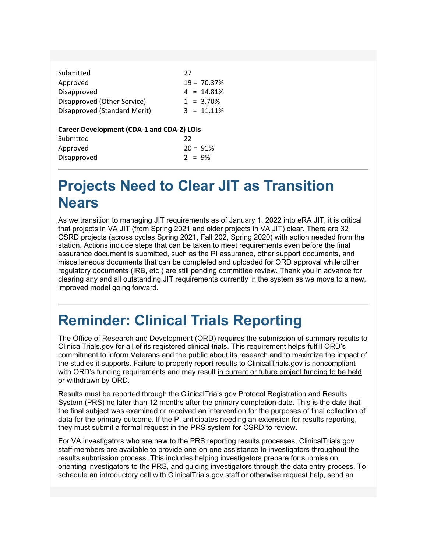| Submitted                    | 27            |
|------------------------------|---------------|
| Approved                     | $19 = 70.37%$ |
| Disapproved                  | $4 = 14.81%$  |
| Disapproved (Other Service)  | $1 = 3.70\%$  |
| Disapproved (Standard Merit) | $3 = 11.11\%$ |

#### **Career Development (CDA-1 and CDA-2) LOIs**

| Submtted    | 22         |  |
|-------------|------------|--|
| Approved    | $20 = 91%$ |  |
| Disapproved | $2 = 9\%$  |  |

# **Projects Need to Clear JIT as Transition Nears**

As we transition to managing JIT requirements as of January 1, 2022 into eRA JIT, it is critical that projects in VA JIT (from Spring 2021 and older projects in VA JIT) clear. There are 32 CSRD projects (across cycles Spring 2021, Fall 202, Spring 2020) with action needed from the station. Actions include steps that can be taken to meet requirements even before the final assurance document is submitted, such as the PI assurance, other support documents, and miscellaneous documents that can be completed and uploaded for ORD approval while other regulatory documents (IRB, etc.) are still pending committee review. Thank you in advance for clearing any and all outstanding JIT requirements currently in the system as we move to a new, improved model going forward.

# **Reminder: Clinical Trials Reporting**

The Office of Research and Development (ORD) requires the submission of summary results to ClinicalTrials.gov for all of its registered clinical trials. This requirement helps fulfill ORD's commitment to inform Veterans and the public about its research and to maximize the impact of the studies it supports. Failure to properly report results to ClinicalTrials.gov is noncompliant with ORD's funding requirements and may result in current or future project funding to be held or withdrawn by ORD.

Results must be reported through the ClinicalTrials.gov Protocol Registration and Results System (PRS) no later than 12 months after the primary completion date. This is the date that the final subject was examined or received an intervention for the purposes of final collection of data for the primary outcome. If the PI anticipates needing an extension for results reporting, they must submit a formal request in the PRS system for CSRD to review.

For VA investigators who are new to the PRS reporting results processes, ClinicalTrials.gov staff members are available to provide one-on-one assistance to investigators throughout the results submission process. This includes helping investigators prepare for submission, orienting investigators to the PRS, and guiding investigators through the data entry process. To schedule an introductory call with ClinicalTrials.gov staff or otherwise request help, send an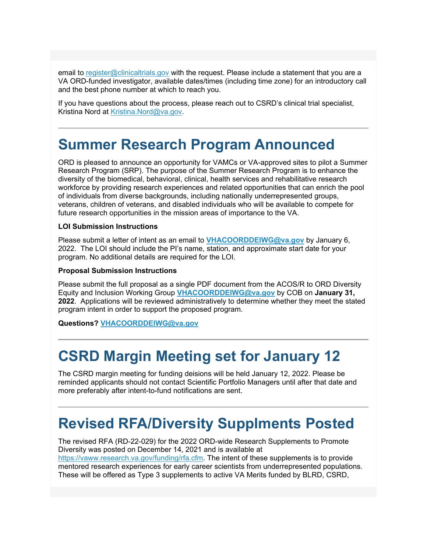email to [register@clinicaltrials.gov](mailto:register@clinicaltrials.gov) with the request. Please include a statement that you are a VA ORD-funded investigator, available dates/times (including time zone) for an introductory call and the best phone number at which to reach you.

If you have questions about the process, please reach out to CSRD's clinical trial specialist, Kristina Nord at [Kristina.Nord@va.gov.](mailto:Kristina.Nord@va.gov)

# **Summer Research Program Announced**

ORD is pleased to announce an opportunity for VAMCs or VA-approved sites to pilot a Summer Research Program (SRP). The purpose of the Summer Research Program is to enhance the diversity of the biomedical, behavioral, clinical, health services and rehabilitative research workforce by providing research experiences and related opportunities that can enrich the pool of individuals from diverse backgrounds, including nationally underrepresented groups, veterans, children of veterans, and disabled individuals who will be available to compete for future research opportunities in the mission areas of importance to the VA.

#### **LOI Submission Instructions**

Please submit a letter of intent as an email to **[VHACOORDDEIWG@va.gov](mailto:VHACOORDDEIWG@va.gov)** by January 6, 2022. The LOI should include the PI's name, station, and approximate start date for your program. No additional details are required for the LOI.

#### **Proposal Submission Instructions**

Please submit the full proposal as a single PDF document from the ACOS/R to ORD Diversity Equity and Inclusion Working Group **[VHACOORDDEIWG@va.gov](mailto:VHACOORDDEIWG@va.gov)** by COB on **January 31, 2022**. Applications will be reviewed administratively to determine whether they meet the stated program intent in order to support the proposed program.

**Questions? [VHACOORDDEIWG@va.gov](mailto:VHACOORDDEIWG@va.gov)**

# **CSRD Margin Meeting set for January 12**

The CSRD margin meeting for funding deisions will be held January 12, 2022. Please be reminded applicants should not contact Scientific Portfolio Managers until after that date and more preferably after intent-to-fund notifications are sent.

### **Revised RFA/Diversity Supplments Posted**

The revised RFA (RD-22-029) for the 2022 ORD-wide Research Supplements to Promote Diversity was posted on December 14, 2021 and is available at [https://vaww.research.va.gov/funding/rfa.cfm.](https://gcc02.safelinks.protection.outlook.com/?url=https%3A%2F%2Fvaww.research.va.gov%2Ffunding%2Frfa.cfm&data=04%7C01%7C%7Cd2677866fdf74901eae508d9c4c36daf%7Ce95f1b23abaf45ee821db7ab251ab3bf%7C0%7C0%7C637757165923322807%7CUnknown%7CTWFpbGZsb3d8eyJWIjoiMC4wLjAwMDAiLCJQIjoiV2luMzIiLCJBTiI6Ik1haWwiLCJXVCI6Mn0%3D%7C3000&sdata=dtEb25ifhg98O%2FpTHZzRxtgasUr5wcZSZu%2Fg6uT3dvs%3D&reserved=0) The intent of these supplements is to provide mentored research experiences for early career scientists from underrepresented populations. These will be offered as Type 3 supplements to active VA Merits funded by BLRD, CSRD,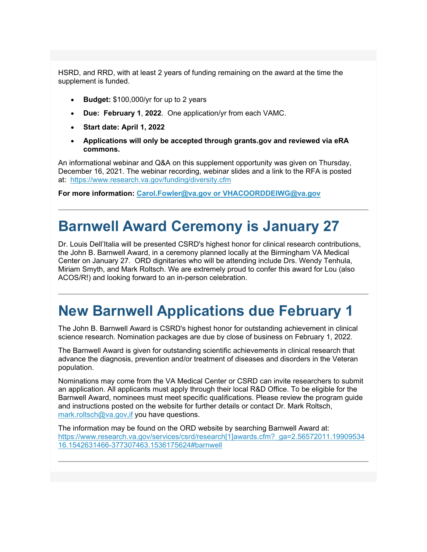HSRD, and RRD, with at least 2 years of funding remaining on the award at the time the supplement is funded.

- **Budget:** \$100,000/yr for up to 2 years
- **Due: February 1**, **2022**. One application/yr from each VAMC.
- **Start date: April 1, 2022**
- **Applications will only be accepted through grants.gov and reviewed via eRA commons.**

An informational webinar and Q&A on this supplement opportunity was given on Thursday, December 16, 2021. The webinar recording, webinar slides and a link to the RFA is posted at: [https://www.research.va.gov/funding/diversity.cfm](https://gcc02.safelinks.protection.outlook.com/?url=https%3A%2F%2Fwww.research.va.gov%2Ffunding%2Fdiversity.cfm&data=04%7C01%7C%7Cd2677866fdf74901eae508d9c4c36daf%7Ce95f1b23abaf45ee821db7ab251ab3bf%7C0%7C0%7C637757165923322807%7CUnknown%7CTWFpbGZsb3d8eyJWIjoiMC4wLjAwMDAiLCJQIjoiV2luMzIiLCJBTiI6Ik1haWwiLCJXVCI6Mn0%3D%7C3000&sdata=bwBOzNKUtQh%2BCOGG%2FCj6nnIx7GW2Gv7K3V8oJLGnXAs%3D&reserved=0)

**For more information: [Carol.Fowler@va.gov or](mailto:Carol.Fowler@va.gov) [VHACOORDDEIWG@va.gov](mailto:VHACOORDDEIWG@va.gov)**

### **Barnwell Award Ceremony is January 27**

Dr. Louis Dell'Italia will be presented CSRD's highest honor for clinical research contributions, the John B. Barnwell Award, in a ceremony planned locally at the Birmingham VA Medical Center on January 27. ORD dignitaries who will be attending include Drs. Wendy Tenhula, Miriam Smyth, and Mark Roltsch. We are extremely proud to confer this award for Lou (also ACOS/R!) and looking forward to an in-person celebration.

### **New Barnwell Applications due February 1**

The John B. Barnwell Award is CSRD's highest honor for outstanding achievement in clinical science research. Nomination packages are due by close of business on February 1, 2022.

The Barnwell Award is given for outstanding scientific achievements in clinical research that advance the diagnosis, prevention and/or treatment of diseases and disorders in the Veteran population.

Nominations may come from the VA Medical Center or CSRD can invite researchers to submit an application. All applicants must apply through their local R&D Office. To be eligible for the Barnwell Award, nominees must meet specific qualifications. Please review the program guide and instructions posted on the website for further details or contact Dr. Mark Roltsch, mark.roltsch@va.gov, if you have questions.

The information may be found on the ORD website by searching Barnwell Award at: [https://www.research.va.gov/services/csrd/research\[1\]awards.cfm?\\_ga=2.56572011.19909534](https://gcc02.safelinks.protection.outlook.com/?url=https%3A%2F%2Fwww.research.va.gov%2Fservices%2Fcsrd%2Fresearch%255b1%255dawards.cfm%3F_ga%3D2.56572011.1990953416.1542631466-377307463.1536175624%23barnwell&data=04%7C01%7C%7Cd2677866fdf74901eae508d9c4c36daf%7Ce95f1b23abaf45ee821db7ab251ab3bf%7C0%7C0%7C637757165923322807%7CUnknown%7CTWFpbGZsb3d8eyJWIjoiMC4wLjAwMDAiLCJQIjoiV2luMzIiLCJBTiI6Ik1haWwiLCJXVCI6Mn0%3D%7C3000&sdata=UEh7vcX62%2F0FRApUA6W%2Bh2BsOmHBWQPwMW61OGYBtAY%3D&reserved=0) [16.1542631466-377307463.1536175624#barnwell](https://gcc02.safelinks.protection.outlook.com/?url=https%3A%2F%2Fwww.research.va.gov%2Fservices%2Fcsrd%2Fresearch%255b1%255dawards.cfm%3F_ga%3D2.56572011.1990953416.1542631466-377307463.1536175624%23barnwell&data=04%7C01%7C%7Cd2677866fdf74901eae508d9c4c36daf%7Ce95f1b23abaf45ee821db7ab251ab3bf%7C0%7C0%7C637757165923322807%7CUnknown%7CTWFpbGZsb3d8eyJWIjoiMC4wLjAwMDAiLCJQIjoiV2luMzIiLCJBTiI6Ik1haWwiLCJXVCI6Mn0%3D%7C3000&sdata=UEh7vcX62%2F0FRApUA6W%2Bh2BsOmHBWQPwMW61OGYBtAY%3D&reserved=0)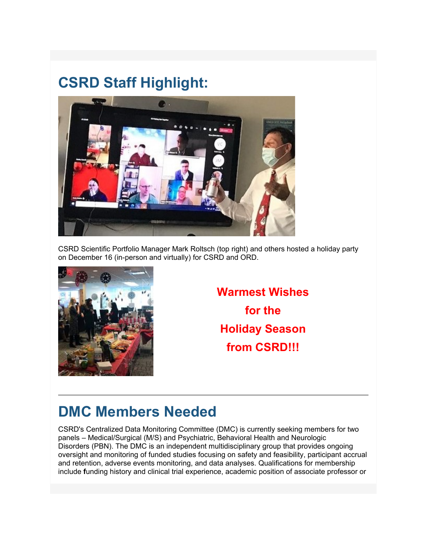# **CSRD Staff Highlight:**



CSRD Scientific Portfolio Manager Mark Roltsch (top right) and others hosted a holiday party on December 16 (in-person and virtually) for CSRD and ORD.



**Warmest Wishes for the Holiday Season from CSRD!!!**

# **DMC Members Needed**

CSRD's Centralized Data Monitoring Committee (DMC) is currently seeking members for two panels – Medical/Surgical (M/S) and Psychiatric, Behavioral Health and Neurologic Disorders (PBN). The DMC is an independent multidisciplinary group that provides ongoing oversight and monitoring of funded studies focusing on safety and feasibility, participant accrual and retention, adverse events monitoring, and data analyses. Qualifications for membership include **f**unding history and clinical trial experience, academic position of associate professor or